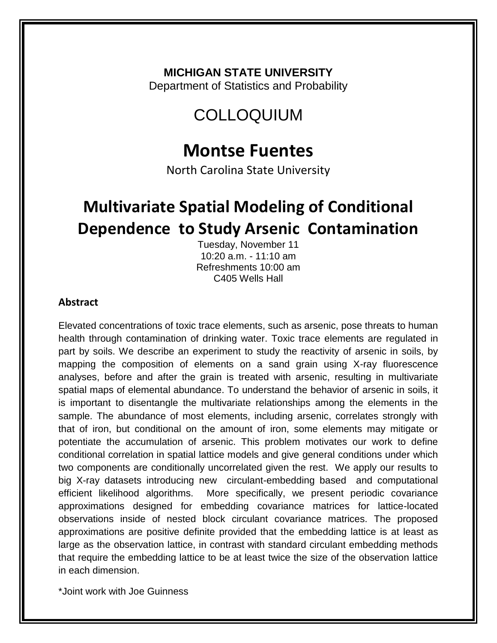#### **MICHIGAN STATE UNIVERSITY**

Department of Statistics and Probability

## COLLOQUIUM

## **Montse Fuentes**

North Carolina State University

# **Multivariate Spatial Modeling of Conditional Dependence to Study Arsenic Contamination**

Tuesday, November 11 10:20 a.m. - 11:10 am Refreshments 10:00 am C405 Wells Hall

#### **Abstract**

Elevated concentrations of toxic trace elements, such as arsenic, pose threats to human health through contamination of drinking water. Toxic trace elements are regulated in part by soils. We describe an experiment to study the reactivity of arsenic in soils, by mapping the composition of elements on a sand grain using X-ray fluorescence analyses, before and after the grain is treated with arsenic, resulting in multivariate spatial maps of elemental abundance. To understand the behavior of arsenic in soils, it is important to disentangle the multivariate relationships among the elements in the sample. The abundance of most elements, including arsenic, correlates strongly with that of iron, but conditional on the amount of iron, some elements may mitigate or potentiate the accumulation of arsenic. This problem motivates our work to define conditional correlation in spatial lattice models and give general conditions under which two components are conditionally uncorrelated given the rest. We apply our results to big X-ray datasets introducing new circulant-embedding based and computational efficient likelihood algorithms. More specifically, we present periodic covariance approximations designed for embedding covariance matrices for lattice-located observations inside of nested block circulant covariance matrices. The proposed approximations are positive definite provided that the embedding lattice is at least as large as the observation lattice, in contrast with standard circulant embedding methods that require the embedding lattice to be at least twice the size of the observation lattice in each dimension.

\*Joint work with Joe Guinness